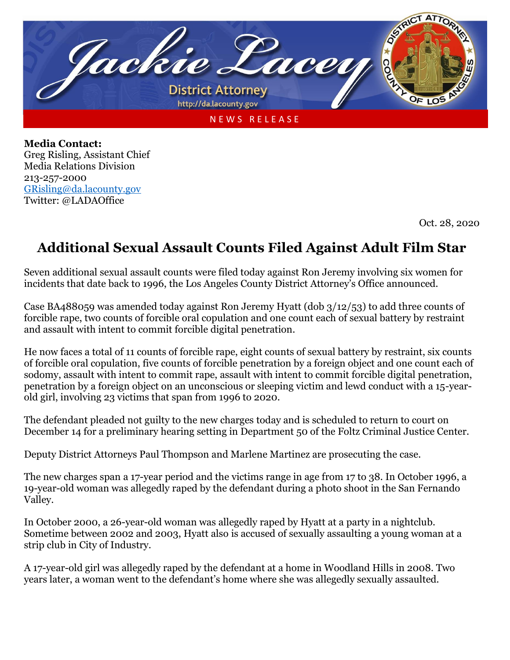

**Media Contact:** Greg Risling, Assistant Chief Media Relations Division 213-257-2000 [GRisling@da.lacounty.gov](mailto:GRisling@da.lacounty.gov) Twitter: @LADAOffice

Oct. 28, 2020

## **Additional Sexual Assault Counts Filed Against Adult Film Star**

Seven additional sexual assault counts were filed today against Ron Jeremy involving six women for incidents that date back to 1996, the Los Angeles County District Attorney's Office announced.

Case BA488059 was amended today against Ron Jeremy Hyatt (dob 3/12/53) to add three counts of forcible rape, two counts of forcible oral copulation and one count each of sexual battery by restraint and assault with intent to commit forcible digital penetration.

He now faces a total of 11 counts of forcible rape, eight counts of sexual battery by restraint, six counts of forcible oral copulation, five counts of forcible penetration by a foreign object and one count each of sodomy, assault with intent to commit rape, assault with intent to commit forcible digital penetration, penetration by a foreign object on an unconscious or sleeping victim and lewd conduct with a 15-yearold girl, involving 23 victims that span from 1996 to 2020.

The defendant pleaded not guilty to the new charges today and is scheduled to return to court on December 14 for a preliminary hearing setting in Department 50 of the Foltz Criminal Justice Center.

Deputy District Attorneys Paul Thompson and Marlene Martinez are prosecuting the case.

The new charges span a 17-year period and the victims range in age from 17 to 38. In October 1996, a 19-year-old woman was allegedly raped by the defendant during a photo shoot in the San Fernando Valley.

In October 2000, a 26-year-old woman was allegedly raped by Hyatt at a party in a nightclub. Sometime between 2002 and 2003, Hyatt also is accused of sexually assaulting a young woman at a strip club in City of Industry.

A 17-year-old girl was allegedly raped by the defendant at a home in Woodland Hills in 2008. Two years later, a woman went to the defendant's home where she was allegedly sexually assaulted.